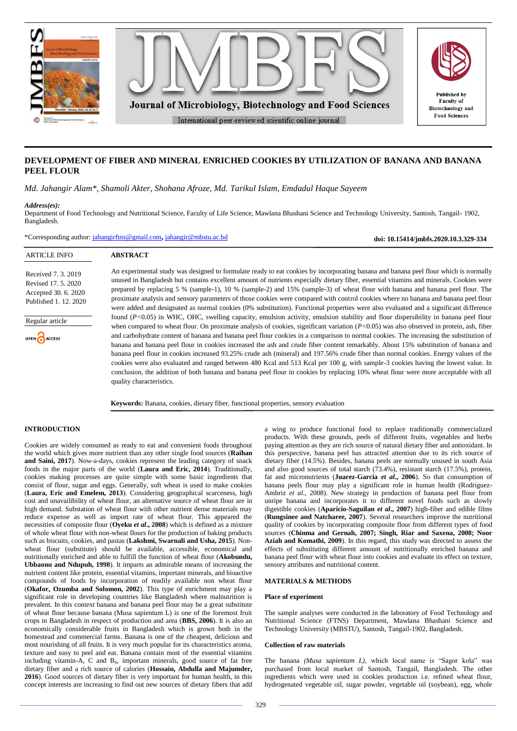

# **DEVELOPMENT OF FIBER AND MINERAL ENRICHED COOKIES BY UTILIZATION OF BANANA AND BANANA PEEL FLOUR**

*Md. Jahangir Alam\*, Shamoli Akter, Shohana Afroze, Md. Tarikul Islam, Emdadul Haque Sayeem*

## *Address(es):*

ARTICLE INFO

Regular article

**B**ACCESS

Received 7. 3. 2019 Revised 17. 5. 2020 Accepted 30. 6. 2020 Published 1. 12. 2020

Department of Food Technology and Nutritional Science, Faculty of Life Science, Mawlana Bhashani Science and Technology University, Santosh, Tangail- 1902, Bangladesh.

\*Corresponding author: [jahangirftns@gmail.com](mailto:jahangirftns@gmail.com)**,** [jahangir@mbstu.ac.bd](mailto:jahangir@mbstu.ac.bd)

**ABSTRACT**

An experimental study was designed to formulate ready to eat cookies by incorporating banana and banana peel flour which is normally unused in Bangladesh but contains excellent amount of nutrients especially dietary fiber, essential vitamins and minerals. Cookies were prepared by replacing 5 % (sample-1), 10 % (sample-2) and 15% (sample-3) of wheat flour with banana and banana peel flour. The proximate analysis and sensory parameters of those cookies were compared with control cookies where no banana and banana peel flour were added and designated as normal cookies (0% substitution). Functional properties were also evaluated and a significant difference found (*P<*0.05) in WHC, OHC, swelling capacity, emulsion activity, emulsion stability and flour dispersibility in banana peel flour when compared to wheat flour. On proximate analysis of cookies, significant variation (*P<*0.05) was also observed in protein, ash, fiber and carbohydrate content of banana and banana peel flour cookies in a comparison to normal cookies. The increasing the substitution of banana and banana peel flour in cookies increased the ash and crude fiber content remarkably. About 15% substitution of banana and banana peel flour in cookies increased 93.25% crude ash (mineral) and 197.56% crude fiber than normal cookies. Energy values of the cookies were also evaluated and ranged between 480 Kcal and 513 Kcal per 100 g, with sample-3 cookies having the lowest value. In conclusion, the addition of both banana and banana peel flour in cookies by replacing 10% wheat flour were more acceptable with all quality characteristics.

**Keywords:** Banana, cookies, dietary fiber, functional properties, sensory evaluation

# **INTRODUCTION**

Cookies are widely consumed as ready to eat and convenient foods throughout the world which gives more nutrient than any other single food sources (**Raihan and Saini, 2017**). Now-a-days, cookies represent the leading category of snack foods in the major parts of the world (**Laura and Eric, 2014**). Traditionally, cookies making processes are quite simple with some basic ingredients that consist of flour, sugar and eggs. Generally, soft wheat is used to make cookies (**Laura, Eric and Emelem, 2013**). Considering geographical scarceness, high cost and unavailibility of wheat flour, an alternative source of wheat flour are in high demand. Substation of wheat flour with other nutrient dense materials may reduce expense as well as import rate of wheat flour. This appeared the necessities of composite flour (**Oyeku** *et al***., 2008**) which is defined as a mixture of whole wheat flour with non-wheat flours for the production of baking products such as biscuits, cookies, and pastas (**Lakshmi, Swarnali and Usha, 2015**). Nonwheat flour (substitute) should be available, accessible, economical and nutritionally enriched and able to fulfill the function of wheat flour (**Akobundu, Ubbaonu and Ndupuh, 1998**). It imparts an admirable means of increasing the nutrient content like protein, essential vitamins, important minerals, and bioactive compounds of foods by incorporation of readily available non wheat flour (**Okafor, Ozumba and Solomon, 2002**). This type of enrichment may play a significant role in developing countries like Bangladesh where malnutrition is prevalent. In this context banana and banana peel flour may be a great substitute of wheat flour because banana (Musa sapientum L) is one of the foremost fruit crops in Bangladesh in respect of production and area (**BBS, 2006**). It is also an economically considerable fruits in Bangladesh which is grown both in the homestead and commercial farms. Banana is one of the cheapest, delicious and most nourishing of all fruits. It is very much popular for its characteristics aroma, texture and easy to peel and eat. Banana contain most of the essential vitamins including vitamin-A, C and B<sub>6</sub>, important minerals, good source of fat free dietary fiber and a rich source of calories (**Hossain, Abdulla and Majumder, 2016**). Good sources of dietary fiber is very important for human health, in this concept interests are increasing to find out new sources of dietary fibers that add

a wing to produce functional food to replace traditionally commercialized products. With these grounds, peels of different fruits, vegetables and herbs paying attention as they are rich source of natural dietary fiber and antioxidant. In this perspective, banana peel has attracted attention due to its rich source of dietary fiber (14.5%). Besides, banana peels are normally unused in south Asia and also good sources of total starch (73.4%), resistant starch (17.5%), protein, fat and micronutrients (**Juarez-Garcia** *et al***., 2006**). So that consumption of banana peels flour may play a significant role in human health (Rodriguez-Ambriz *et al*., 2008). New strategy in production of banana peel flour from unripe banana and incorporates it to different novel foods such as slowly digestible cookies (**Aparicio-Saguilan** *et al***., 2007**) high-fiber and edible films (**Rungsinee and Natcharee, 2007**). Several researchers improve the nutritional quality of cookies by incorporating composite flour from different types of food sources (**Chinma and Gernah, 2007; Singh, Riar and Saxena, 2008; Noor Aziah and Komathi, 2009**). In this regard, this study was directed to assess the effects of substituting different amount of nutritionally enriched banana and banana peel flour with wheat flour into cookies and evaluate its effect on texture, sensory attributes and nutritional content.

**doi: 10.15414/jmbfs.2020.10.3.329-334**

# **MATERIALS & METHODS**

## **Place of experiment**

The sample analyses were conducted in the laboratory of Food Technology and Nutritional Science (FTNS) Department, Mawlana Bhashani Science and Technology University (MBSTU), Santosh, Tangail-1902, Bangladesh.

#### **Collection of raw materials**

The banana *(Musa sapientam L)*, which local name is "Sagor kola" was purchased from local market of Santosh, Tangail, Bangladesh. The other ingredients which were used in cookies production i.e. refined wheat flour, hydrogenated vegetable oil, sugar powder, vegetable oil (soybean), egg, whole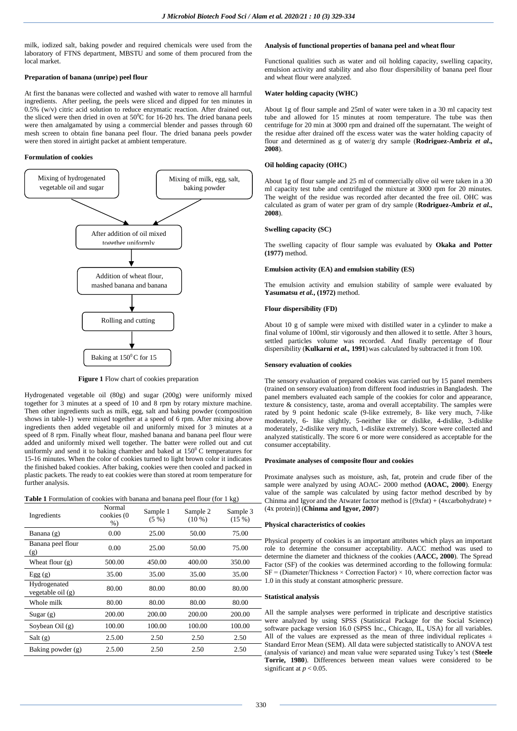milk, iodized salt, baking powder and required chemicals were used from the laboratory of FTNS department, MBSTU and some of them procured from the local market.

### **Preparation of banana (unripe) peel flour**

At first the bananas were collected and washed with water to remove all harmful ingredients. After peeling, the peels were sliced and dipped for ten minutes in 0.5% (w/v) citric acid solution to reduce enzymatic reaction. After drained out, the sliced were then dried in oven at  $50^{\circ}$ C for 16-20 hrs. The dried banana peels were then amalgamated by using a commercial blender and passes through 60 mesh screen to obtain fine banana peel flour. The dried banana peels powder were then stored in airtight packet at ambient temperature.

# **Formulation of cookies**



**Figure 1** Flow chart of cookies preparation

Hydrogenated vegetable oil (80g) and sugar (200g) were uniformly mixed together for 3 minutes at a speed of 10 and 8 rpm by rotary mixture machine. Then other ingredients such as milk, egg, salt and baking powder (composition shows in table-1) were mixed together at a speed of 6 rpm. After mixing above ingredients then added vegetable oil and uniformly mixed for 3 minutes at a speed of 8 rpm. Finally wheat flour, mashed banana and banana peel flour were added and uniformly mixed well together. The batter were rolled out and cut uniformly and send it to baking chamber and baked at  $150^{\circ}$ C temperatures for 15-16 minutes. When the color of cookies turned to light brown color it indicates the finished baked cookies. After baking, cookies were then cooled and packed in plastic packets. The ready to eat cookies were than stored at room temperature for further analysis.

| <b>Table 1</b> Formulation of cookies with banana and banana peel flour (for 1 kg) |  |  |
|------------------------------------------------------------------------------------|--|--|
|------------------------------------------------------------------------------------|--|--|

| Ingredients                       | Normal<br>cookies (0<br>$%$ ) | Sample 1<br>$(5 \%)$ | Sample 2<br>$(10\%)$ | Sample 3<br>(15%) |
|-----------------------------------|-------------------------------|----------------------|----------------------|-------------------|
| Banana (g)                        | 0.00                          | 25.00                | 50.00                | 75.00             |
| Banana peel flour<br>(g)          | 0.00                          | 25.00                | 50.00                | 75.00             |
| Wheat flour $(g)$                 | 500.00                        | 450.00               | 400.00               | 350.00            |
| Egg(g)                            | 35.00                         | 35.00                | 35.00                | 35.00             |
| Hydrogenated<br>vegetable oil (g) | 80.00                         | 80.00                | 80.00                | 80.00             |
| Whole milk                        | 80.00                         | 80.00                | 80.00                | 80.00             |
| Sugar(g)                          | 200.00                        | 200.00               | 200.00               | 200.00            |
| Soybean Oil $(g)$                 | 100.00                        | 100.00               | 100.00               | 100.00            |
| Salt(g)                           | 2.5.00                        | 2.50                 | 2.50                 | 2.50              |
| Baking powder (g)                 | 2.5.00                        | 2.50                 | 2.50                 | 2.50              |

## **Analysis of functional properties of banana peel and wheat flour**

Functional qualities such as water and oil holding capacity, swelling capacity, emulsion activity and stability and also flour dispersibility of banana peel flour and wheat flour were analyzed.

## **Water holding capacity (WHC)**

About 1g of flour sample and 25ml of water were taken in a 30 ml capacity test tube and allowed for 15 minutes at room temperature. The tube was then centrifuge for 20 min at 3000 rpm and drained off the supernatant. The weight of the residue after drained off the excess water was the water holding capacity of flour and determined as g of water/g dry sample (**Rodriguez-Ambriz** *et al***., 2008**).

## **Oil holding capacity (OHC)**

About 1g of flour sample and 25 ml of commercially olive oil were taken in a 30 ml capacity test tube and centrifuged the mixture at 3000 rpm for 20 minutes. The weight of the residue was recorded after decanted the free oil. OHC was calculated as gram of water per gram of dry sample (**Rodriguez-Ambriz** *et al***., 2008**).

### **Swelling capacity (SC)**

The swelling capacity of flour sample was evaluated by **Okaka and Potter (1977)** method.

# **Emulsion activity (EA) and emulsion stability (ES)**

The emulsion activity and emulsion stability of sample were evaluated by **Yasumatsu** *et al.***, (1972)** method.

## **Flour dispersibility (FD)**

About 10 g of sample were mixed with distilled water in a cylinder to make a final volume of 100ml, stir vigorously and then allowed it to settle. After 3 hours, settled particles volume was recorded. And finally percentage of flour dispersibility (**Kulkarni** *et al.,* **1991**)was calculated by subtracted it from 100.

## **Sensory evaluation of cookies**

The sensory evaluation of prepared cookies was carried out by 15 panel members (trained on sensory evaluation) from different food industries in Bangladesh. The panel members evaluated each sample of the cookies for color and appearance, texture & consistency, taste, aroma and overall acceptability. The samples were rated by 9 point hedonic scale (9-like extremely, 8- like very much, 7-like moderately, 6- like slightly, 5-neither like or dislike, 4-dislike, 3-dislike moderately, 2-dislike very much, 1-dislike extremely). Score were collected and analyzed statistically. The score 6 or more were considered as acceptable for the consumer acceptability.

# **Proximate analyses of composite flour and cookies**

Proximate analyses such as moisture, ash, fat, protein and crude fiber of the sample were analyzed by using AOAC- 2000 method **(AOAC, 2000**). Energy value of the sample was calculated by using factor method described by by Chinma and Igyor and the Atwater factor method is  $[(9xfat) + (4xcarbohydrate) +$ (4x protein)] (**Chinma and Igyor, 2007**)

### **Physical characteristics of cookies**

- Physical property of cookies is an important attributes which plays an important role to determine the consumer acceptability. AACC method was used to determine the diameter and thickness of the cookies (**AACC, 2000**). The Spread Factor (SF) of the cookies was determined according to the following formula:  $SF = (Diameter/Thickness \times Correction Factor) \times 10$ , where correction factor was  $-1.0$  in this study at constant atmospheric pressure.

# **Statistical analysis**

All the sample analyses were performed in triplicate and descriptive statistics were analyzed by using SPSS (Statistical Package for the Social Science) software package version 16.0 (SPSS Inc., Chicago, IL, USA) for all variables. All of the values are expressed as the mean of three individual replicates  $\pm$ - Standard Error Mean (SEM). All data were subjected statistically to ANOVA test (analysis of variance) and mean value were separated using Tukey's test (**Steele Torrie, 1980**). Differences between mean values were considered to be significant at  $p < 0.05$ .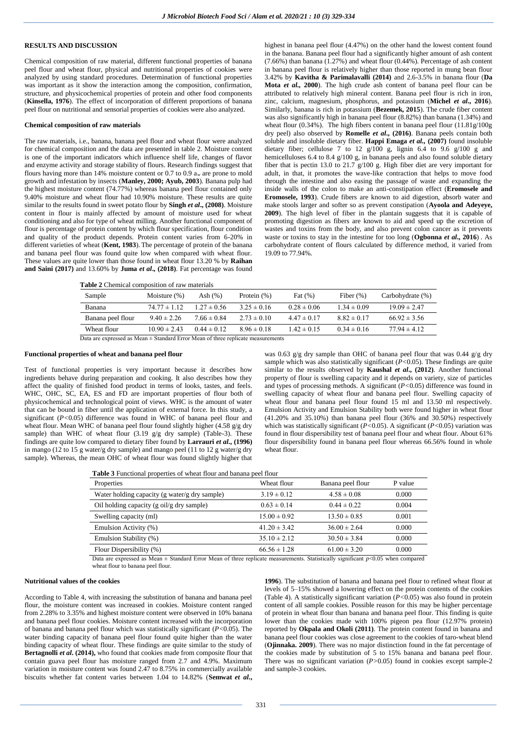# **RESULTS AND DISCUSSION**

Chemical composition of raw material, different functional properties of banana peel flour and wheat flour, physical and nutritional properties of cookies were analyzed by using standard procedures. Determination of functional properties was important as it show the interaction among the composition, confirmation, structure, and physicochemical properties of protein and other food components (**Kinsella, 1976**). The effect of incorporation of different proportions of banana peel flour on nutritional and sensorial properties of cookies were also analyzed.

## **Chemical composition of raw materials**

The raw materials, i.e., banana, banana peel flour and wheat flour were analyzed for chemical composition and the data are presented in table 2. Moisture content is one of the important indicators which influence shelf life, changes of flavor and enzyme activity and storage stability of flours. Research findings suggest that flours having more than 14% moisture content or 0.7 to 0.9  $a_w$  are prone to mold growth and infestation by insects (**Manley, 2000; Ayub, 2003**). Banana pulp had the highest moisture content (74.77%) whereas banana peel flour contained only 9.40% moisture and wheat flour had 10.90% moisture. These results are quite similar to the results found in sweet potato flour by **Singh** *et al***., (2008)**. Moisture content in flour is mainly affected by amount of moisture used for wheat conditioning and also for type of wheat milling. Another functional component of flour is percentage of protein content by which flour specification, flour condition and quality of the product depends. Protein content varies from 6-20% in different varieties of wheat (**Kent, 1983**). The percentage of protein of the banana and banana peel flour was found quite low when compared with wheat flour. These values are quite lower than those found in wheat flour 13.20 % by **Raihan and Saini (2017)** and 13.60% by **Juma** *et al***., (2018)**. Fat percentage was found

highest in banana peel flour (4.47%) on the other hand the lowest content found in the banana. Banana peel flour had a significantly higher amount of ash content  $(7.66%)$  than banana  $(1.27%)$  and wheat flour  $(0.44%)$ . Percentage of ash content in banana peel flour is relatively higher than those reported in mung bean flour 3.42% by **Kavitha & Parimalavalli (2014)** and 2.6-3.5% in banana flour (**Da Mota** *et al.,* **2000**). The high crude ash content of banana peel flour can be attributed to relatively high mineral content. Banana peel flour is rich in iron, zinc, calcium, magnesium, phosphorus, and potassium (**Michel** *et al***., 2016**). Similarly, banana is rich in potassium (**Bezemek, 2015**). The crude fiber content was also significantly high in banana peel flour (8.82%) than banana (1.34%) and wheat flour (0.34%). The high fibers content in banana peel flour (11.81g/100g) dry peel) also observed by **Romelle** *et al***., (2016)**. Banana peels contain both soluble and insoluble dietary fiber. **Happi Emaga** *et al.,* **(2007)** found insoluble dietary fiber; cellulose 7 to 12  $g/100$  g, lignin 6.4 to 9.6  $g/100$  g and hemicelluloses 6.4 to 8.4 g/100 g, in banana peels and also found soluble dietary fiber that is pectin 13.0 to 21.7 g/100 g. High fiber diet are very important for adult, in that, it promotes the wave-like contraction that helps to move food through the intestine and also easing the passage of waste and expanding the inside walls of the colon to make an anti-constipation effect (**Eromosele and Eromosele, 1993**). Crude fibers are known to aid digestion, absorb water and make stools larger and softer so as prevent constipation (**Ayoola and Adeyeye, 2009**). The high level of fiber in the plantain suggests that it is capable of promoting digestion as fibers are known to aid and speed up the excretion of wastes and toxins from the body, and also prevent colon cancer as it prevents waste or toxins to stay in the intestine for too long (**Ogbonna** *et al***., 2016**) . As carbohydrate content of flours calculated by difference method, it varied from 19.09 to 77.94%.

**Table 2** Chemical composition of raw materials

| Sample            | Moisture $(\%)$  | Ash $(\%)$      | Protein $(\%)$  | Fat $(\%)$      | Fiber $(\%)$    | Carbohydrate (%) |
|-------------------|------------------|-----------------|-----------------|-----------------|-----------------|------------------|
| Banana            | $74.77 \pm 1.12$ | $1.27 \pm 0.56$ | $3.25 \pm 0.16$ | $0.28 \pm 0.06$ | $1.34 \pm 0.09$ | $19.09 \pm 2.47$ |
| Banana peel flour | $9.40 \pm 2.26$  | $7.66 \pm 0.84$ | $2.73 \pm 0.10$ | $4.47 \pm 0.17$ | $8.82 \pm 0.17$ | $66.92 \pm 3.56$ |
| Wheat flour       | $10.90 \pm 2.43$ | $0.44 \pm 0.12$ | $8.96 \pm 0.18$ | $1.42 \pm 0.15$ | $0.34 \pm 0.16$ | $77.94 \pm 4.12$ |

Data are expressed as Mean ± Standard Error Mean of three replicate measurements

# **Functional properties of wheat and banana peel flour**

Test of functional properties is very important because it describes how ingredients behave during preparation and cooking. It also describes how they affect the quality of finished food product in terms of looks, tastes, and feels. WHC, OHC, SC, EA, ES and FD are important properties of flour both of physicochemical and technological point of views. WHC is the amount of water that can be bound in fiber until the application of external force. In this study, a significant (*P<*0.05) difference was found in WHC of banana peel flour and wheat flour. Mean WHC of banana peel flour found slightly higher (4.58 g/g dry sample) than WHC of wheat flour  $(3.19 \text{ g/g dry sample})$  (Table-3). These findings are quite low compared to dietary fiber found by **Larrauri** *et al***., (1996)** in mango (12 to 15 g water/g dry sample) and mango peel (11 to 12 g water/g dry sample). Whereas, the mean OHC of wheat flour was found slightly higher that

was 0.63  $g/g$  dry sample than OHC of banana peel flour that was 0.44  $g/g$  dry sample which was also statistically significant (*P<*0.05). These findings are quite similar to the results observed by **Kaushal** *et al***., (2012)**. Another functional property of flour is swelling capacity and it depends on variety, size of particles and types of processing methods. A significant  $(P<0.05)$  difference was found in swelling capacity of wheat flour and banana peel flour. Swelling capacity of wheat flour and banana peel flour found 15 ml and 13.50 ml respectively. Emulsion Activity and Emulsion Stability both were found higher in wheat flour (41.20% and 35.10%) than banana peel flour (36% and 30.50%) respectively which was statistically significant (*P<*0.05). A significant (*P<*0.05) variation was found in flour dispersibility test of banana peel flour and wheat flour. About 61% flour dispersibility found in banana peel flour whereas 66.56% found in whole wheat flour.

| <b>Table 3</b> Functional properties of wheat flour and banana peel flour |                  |                   |         |  |  |  |
|---------------------------------------------------------------------------|------------------|-------------------|---------|--|--|--|
| Properties                                                                | Wheat flour      | Banana peel flour | P value |  |  |  |
| Water holding capacity (g water/g dry sample)                             | $3.19 \pm 0.12$  | $4.58 \pm 0.08$   | 0.000   |  |  |  |
| Oil holding capacity (g oil/g dry sample)                                 | $0.63 \pm 0.14$  | $0.44 \pm 0.22$   | 0.004   |  |  |  |
| Swelling capacity (ml)                                                    | $15.00 \pm 0.92$ | $13.50 \pm 0.85$  | 0.001   |  |  |  |
| Emulsion Activity (%)                                                     | $41.20 \pm 3.42$ | $36.00 \pm 2.64$  | 0.000   |  |  |  |
| Emulsion Stability (%)                                                    | $35.10 \pm 2.12$ | $30.50 \pm 3.84$  | 0.000   |  |  |  |
| Flour Dispersibility (%)                                                  | $66.56 \pm 1.28$ | $61.00 \pm 3.20$  | 0.000   |  |  |  |

Data are expressed as Mean  $\pm$  Standard Error Mean of three replicate measurements. Statistically significant  $p$ <0.05 when compared wheat flour to banana peel flour.

#### **Nutritional values of the cookies**

According to Table 4, with increasing the substitution of banana and banana peel flour, the moisture content was increased in cookies. Moisture content ranged from 2.28% to 3.35% and highest moisture content were observed in 10% banana and banana peel flour cookies. Moisture content increased with the incorporation of banana and banana peel flour which was statistically significant (*P<*0.05). The water binding capacity of banana peel flour found quite higher than the water binding capacity of wheat flour. These findings are quite similar to the study of **Bertagnolli** *et al.* (2014), who found that cookies made from composite flour that contain guava peel flour has moisture ranged from 2.7 and 4.9%. Maximum variation in moisture content was found 2.47 to 8.75% in commercially available biscuits whether fat content varies between 1.04 to 14.82% (**Semwat** *et al***.,** 

**1996**). The substitution of banana and banana peel flour to refined wheat flour at levels of 5–15% showed a lowering effect on the protein contents of the cookies (Table 4). A statistically significant variation (*P<*0.05) was also found in protein content of all sample cookies. Possible reason for this may be higher percentage of protein in wheat flour than banana and banana peel flour. This finding is quite lower than the cookies made with 100% pigeon pea flour (12.97% protein) reported by **Okpala and Okoli (2011)**. The protein content found in banana and banana peel flour cookies was close agreement to the cookies of taro-wheat blend (**Ojinnaka. 2009**). There was no major distinction found in the fat percentage of the cookies made by substitution of 5 to 15% banana and banana peel flour. There was no significant variation (*P>*0.05) found in cookies except sample-2 and sample-3 cookies.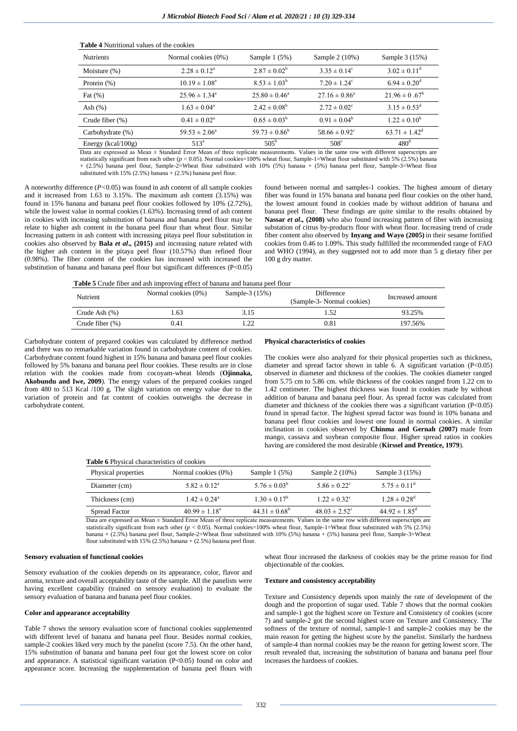| <b>Nutrients</b>       | Normal cookies (0%)        | Sample $1(5%)$           | Sample 2 (10%)                | Sample 3 (15%)           |
|------------------------|----------------------------|--------------------------|-------------------------------|--------------------------|
| Moisture $(\%)$        | $2.28 \pm 0.12^a$          | $2.87 \pm 0.02^b$        | $3.35 \pm 0.14^{\circ}$       | $3.02 \pm 0.11^{\circ}$  |
| Protein (%)            | $10.19 \pm 1.08^{\circ}$   | $8.53 \pm 1.03^b$        | $7.20 \pm 1.24^c$             | $6.94 \pm 0.20^{\rm d}$  |
| Fat $(\%)$             | $25.96 \pm 1.34^{\circ}$   | $25.80 \pm 0.46^{\circ}$ | $27.16 \pm 0.86^{\circ}$      | $21.96 \pm 0.67^b$       |
| Ash $(\%)$             | $1.63 \pm 0.04^{\circ}$    | $2.42 \pm 0.08^{\rm b}$  | $2.72 \pm 0.02$ <sup>c</sup>  | $3.15 \pm 0.53^{\rm d}$  |
| Crude fiber $(\%)$     | $0.41 \pm 0.02^{\text{a}}$ | $0.65 \pm 0.03^b$        | $0.91 \pm 0.04^b$             | $1.22 \pm 0.10^b$        |
| Carbohydrate (%)       | $59.53 \pm 2.06^{\circ}$   | $59.73 \pm 0.86^b$       | $58.66 \pm 0.92$ <sup>c</sup> | $63.71 \pm 1.42^{\rm d}$ |
| Energy ( $kcal/100g$ ) | $513^a$                    | $505^{\rm b}$            | $508^{\circ}$                 | 480 <sup>d</sup>         |

Data are expressed as Mean ± Standard Error Mean of three replicate measurements. Values in the same row with different superscripts are statistically significant from each other ( $p < 0.05$ ). Normal cookies=100% wheat flour, Sample-1=Wheat flour substituted with 5% (2.5%) banana + (2.5%) banana peel flour, Sample-2=Wheat flour substituted with 10% (5%) banana + (5%) banana peel flour, Sample-3=Wheat flour substituted with  $15\%$  (2.5%) banana + (2.5%) banana peel flour.

A noteworthy difference (*P<*0.05) was found in ash content of all sample cookies and it increased from 1.63 to 3.15%. The maximum ash content  $(3.15%)$  was found in 15% banana and banana peel flour cookies followed by 10% (2.72%), while the lowest value in normal cookies (1.63%). Increasing trend of ash content in cookies with increasing substitution of banana and banana peel flour may be relate to higher ash content in the banana peel flour than wheat flour. Similar Increasing pattern in ash content with increasing pitaya peel flour substitution in cookies also observed by **Bala** *et al***., (2015)** and increasing nature related with the higher ash content in the pitaya peel flour (10.57%) than refined flour (0.98%). The fiber content of the cookies has increased with increased the substitution of banana and banana peel flour but significant differences (P<0.05)

**Table 4** Nutritional values of the cookies

found between normal and samples-1 cookies. The highest amount of dietary fiber was found in 15% banana and banana peel flour cookies on the other hand, the lowest amount found in cookies made by without addition of banana and banana peel flour. These findings are quite similar to the results obtained by **Nassar** *et al***., (2008)** who also found increasing pattern of fiber with increasing substation of citrus by-products flour with wheat flour. Increasing trend of crude fiber content also observed by **Inyang and Wayo (2005)** in their sesame fortified cookies from 0.46 to 1.09%. This study fulfilled the recommended range of FAO and WHO (1994), as they suggested not to add more than 5 g dietary fiber per 100 g dry matter.

**Table 5** Crude fiber and ash improving effect of banana and banana peel flour

| <b>Nutrient</b> | Normal cookies (0%) | Sample-3 (15%) | Difference<br>(Sample-3- Normal cookies) | Increased amount |
|-----------------|---------------------|----------------|------------------------------------------|------------------|
| Crude Ash (%)   | .63                 | 3.15           | .52                                      | 93.25%           |
| Crude fiber (%) | 0.41                |                | 0.81                                     | 197.56%          |

Carbohydrate content of prepared cookies was calculated by difference method and there was no remarkable variation found in carbohydrate content of cookies. Carbohydrate content found highest in 15% banana and banana peel flour cookies followed by 5% banana and banana peel flour cookies. These results are in close relation with the cookies made from cocoyam-wheat blends (**Ojinnaka, Akobundu and Iwe, 2009**). The energy values of the prepared cookies ranged from 480 to 513 Kcal /100 g. The slight variation on energy value due to the variation of protein and fat content of cookies outweighs the decrease in carbohydrate content.

### **Physical characteristics of cookies**

The cookies were also analyzed for their physical properties such as thickness, diameter and spread factor shown in table 6. A significant variation (P<0.05) observed in diameter and thickness of the cookies. The cookies diameter ranged from 5.75 cm to 5.86 cm. while thickness of the cookies ranged from 1.22 cm to 1.42 centimeter. The highest thickness was found in cookies made by without addition of banana and banana peel flour. As spread factor was calculated from diameter and thickness of the cookies there was a significant variation  $(P<0.05)$ found in spread factor. The highest spread factor was found in 10% banana and banana peel flour cookies and lowest one found in normal cookies. A similar inclination in cookies observed by **Chinma and Gernah (2007)** made from mango, cassava and soybean composite flour. Higher spread ratios in cookies having are considered the most desirable (**Kirssel and Prentice, 1979**).

### **Table 6** Physical characteristics of cookies

| Physical properties | Normal cookies (0%)          | Sample $1(5%)$          | Sample 2 (10%)                | Sample 3 (15%)                |
|---------------------|------------------------------|-------------------------|-------------------------------|-------------------------------|
| Diameter (cm)       | $5.82 \pm 0.12^a$            | $5.76 \pm 0.03^b$       | $5.86 \pm 0.22$ <sup>c</sup>  | $5.75 \pm 0.11^{\text{d}}$    |
| Thickness (cm)      | $1.42 \pm 0.24$ <sup>a</sup> | $1.30 \pm 0.17^{\rm b}$ | $1.22 \pm 0.32^{\circ}$       | $1.28 \pm 0.28$ <sup>d</sup>  |
| Spread Factor       | $40.99 \pm 1.18^a$           | $44.31 \pm 0.68^b$      | $48.03 \pm 2.52$ <sup>c</sup> | $44.92 \pm 1.85$ <sup>d</sup> |

Data are expressed as Mean ± Standard Error Mean of three replicate measurements. Values in the same row with different superscripts are statistically significant from each other  $(p < 0.05)$ . Normal cookies=100% wheat flour, Sample-1=Wheat flour substituted with 5% (2.5%) banana + (2.5%) banana peel flour, Sample-2=Wheat flour substituted with 10% (5%) banana + (5%) banana peel flour, Sample-3=Wheat flour substituted with 15% (2.5%) banana + (2.5%) banana peel flour.

### **Sensory evaluation of functional cookies**

Sensory evaluation of the cookies depends on its appearance, color, flavor and aroma, texture and overall acceptability taste of the sample. All the panelists were having excellent capability (trained on sensory evaluation) to evaluate the sensory evaluation of banana and banana peel flour cookies.

## **Color and appearance acceptability**

Table 7 shows the sensory evaluation score of functional cookies supplemented with different level of banana and banana peel flour. Besides normal cookies, sample-2 cookies liked very much by the panelist (score 7.5). On the other hand, 15% substitution of banana and banana peel four got the lowest score on color and appearance. A statistical significant variation  $(P<0.05)$  found on color and appearance score. Increasing the supplementation of banana peel flours with wheat flour increased the darkness of cookies may be the prime reason for find objectionable of the cookies.

## **Texture and consistency acceptability**

Texture and Consistency depends upon mainly the rate of development of the dough and the proportion of sugar used. Table 7 shows that the normal cookies and sample-1 got the highest score on Texture and Consistency of cookies (score 7) and sample-2 got the second highest score on Texture and Consistency. The softness of the texture of normal, sample-1 and sample-2 cookies may be the main reason for getting the highest score by the panelist. Similarly the hardness of sample-4 than normal cookies may be the reason for getting lowest score. The result revealed that, increasing the substitution of banana and banana peel flour increases the hardness of cookies.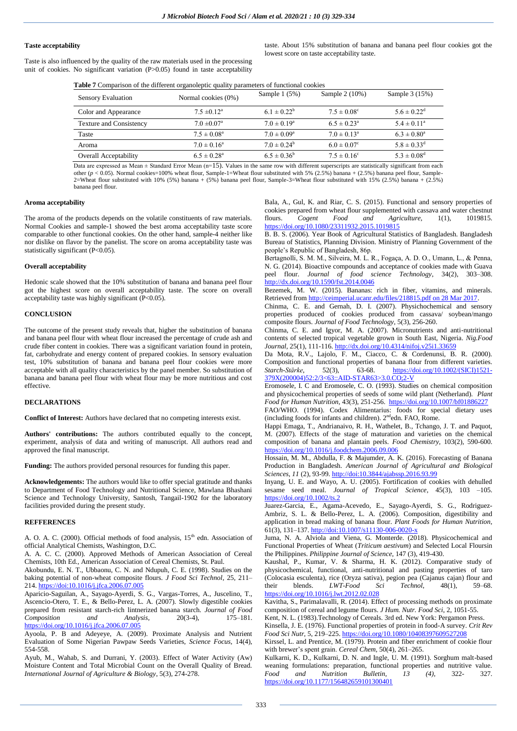# **Taste acceptability**

Taste is also influenced by the quality of the raw materials used in the processing unit of cookies. No significant variation (P>0.05) found in taste acceptability

taste. About 15% substitution of banana and banana peel flour cookies got the lowest score on taste acceptability taste.

| Table 7 Comparison of the different organoleptic quality parameters of functional cookies |  |  |
|-------------------------------------------------------------------------------------------|--|--|
|-------------------------------------------------------------------------------------------|--|--|

| Sensory Evaluation             | Normal cookies (0%)         | Sample $1(5%)$         | Sample 2 (10%)         | Sample 3 (15%)         |
|--------------------------------|-----------------------------|------------------------|------------------------|------------------------|
| Color and Appearance           | $7.5 \pm 0.12^a$            | $6.1 \pm 0.22^b$       | $7.5 \pm 0.08^{\circ}$ | $5.6 \pm 0.22^{\rm d}$ |
| <b>Texture and Consistency</b> | $7.0 \pm 0.07$ <sup>a</sup> | $7.0 \pm 0.19^a$       | $6.5 \pm 0.23^{\rm a}$ | $5.4 \pm 0.11^a$       |
| Taste                          | $7.5 \pm 0.08^{\rm a}$      | $7.0 \pm 0.09^a$       | $7.0 \pm 0.13^a$       | $6.3 \pm 0.80^a$       |
| Aroma                          | $7.0 \pm 0.16^a$            | $7.0 \pm 0.24^b$       | $6.0 \pm 0.07^c$       | $5.8 \pm 0.33^{\rm d}$ |
| <b>Overall Acceptability</b>   | $6.5 \pm 0.28$ <sup>a</sup> | $6.5 \pm 0.36^{\circ}$ | $7.5 \pm 0.16^{\circ}$ | $5.3 \pm 0.08^{\rm d}$ |

Data are expressed as Mean ± Standard Error Mean (n=15). Values in the same row with different superscripts are statistically significant from each other  $(p < 0.05)$ . Normal cookies=100% wheat flour, Sample-1=Wheat flour substituted with 5% (2.5%) banana + (2.5%) banana peel flour, Sample-2=Wheat flour substituted with 10% (5%) banana + (5%) banana peel flour, Sample-3=Wheat flour substituted with 15% (2.5%) banana + (2.5%) banana peel flour.

# **Aroma acceptability**

The aroma of the products depends on the volatile constituents of raw materials. Normal Cookies and sample-1 showed the best aroma acceptability taste score comparable to other functional cookies. On the other hand, sample-4 neither like nor dislike on flavor by the panelist. The score on aroma acceptability taste was statistically significant (P<0.05).

### **Overall acceptability**

Hedonic scale showed that the 10% substitution of banana and banana peel flour got the highest score on overall acceptability taste. The score on overall acceptability taste was highly significant (P<0.05).

## **CONCLUSION**

The outcome of the present study reveals that, higher the substitution of banana and banana peel flour with wheat flour increased the percentage of crude ash and crude fiber content in cookies. There was a significant variation found in protein, fat, carbohydrate and energy content of prepared cookies. In sensory evaluation test, 10% substitution of banana and banana peel flour cookies were more acceptable with all quality characteristics by the panel member. So substitution of banana and banana peel flour with wheat flour may be more nutritious and cost effective.

# **DECLARATIONS**

**Conflict of Interest:** Authors have declared that no competing interests exist.

**Authors' contributions:** The authors contributed equally to the concept, experiment, analysis of data and writing of manuscript. All authors read and approved the final manuscript.

**Funding:** The authors provided personal resources for funding this paper.

**Acknowledgements:** The authors would like to offer special gratitude and thanks to Department of Food Technology and Nutritional Science, Mawlana Bhashani Science and Technology University, Santosh, Tangail-1902 for the laboratory facilities provided during the present study.

### **REFFERENCES**

A. O. A. C. (2000). Official methods of food analysis,  $15<sup>th</sup>$  edn. Association of official Analytical Chemists, Washington, D.C.

A. A. C. C. (2000). Approved Methods of American Association of Cereal Chemists, 10th Ed., American Association of Cereal Chemists, St. Paul.

Akobundu, E. N. T., Ubbaonu, C. N. and Ndupuh, C. E. (1998). Studies on the baking potential of non-wheat composite flours. *J Food Sci Technol*, 25, 211– 214[. https://doi:10.1016/j.jfca.2006.07.005](https://doi:10.1016/j.jfca.2006.07.005)

Aparicio-Saguilan, A., Sayago-Ayerdi, S. G., Vargas-Torres, A., Juscelino, T., Ascencio-Otero, T. E., & Bello-Perez, L. A. (2007). Slowly digestible cookies prepared from resistant starch-rich lintnerized banana starch. *Journal of Food Composition and Analysis*, 20(3-4), 175–181. <https://doi.org/10.1016/j.jfca.2006.07.005>

Ayoola, P. B and Adeyeye, A. (2009). Proximate Analysis and Nutrient Evaluation of Some Nigerian Pawpaw Seeds Varieties, *Science Focus,* 14(4), 554-558.

Ayub, M., Wahab, S. and Durrani, Y. (2003). Effect of Water Activity (Aw) Moisture Content and Total Microbial Count on the Overall Quality of Bread. *International Journal of Agriculture & Biology*, 5(3), 274-278.

Bala, A., Gul, K. and Riar, C. S. (2015). Functional and sensory properties of cookies prepared from wheat flour supplemented with cassava and water chestnut flours. *Cogent Food and Agriculture,* 1(1), 1019815. <https://doi.org/10.1080/23311932.2015.1019815>

B. B. S. (2006). Year Book of Agricultural Statistics of Bangladesh. Bangladesh Bureau of Statistics, Planning Division. Ministry of Planning Government of the people's Republic of Bangladesh, 86p.

Bertagnolli, S. M. M., Silveira, M. L. R., Fogaça, A. D. O., Umann, L., & Penna, N. G. (2014). Bioactive compounds and acceptance of cookies made with Guava peel flour. *Journal of food science Technology*, 34(2), 303–308. <http://dx.doi.org/10.1590/fst.2014.0046>

Bezemek, M. W. (2015). Bananas: rich in fiber, vitamins, and minerals. Retrieved fro[m http://ceimperial.ucanr.edu/files/218815.pdf on 28 Mar 2017.](http://ceimperial.ucanr.edu/files/218815.pdf%20on%2028%20Mar%202017)

Chinma, C. E. and Gernah, D. I. (2007). Physichochemical and sensory properties produced of cookies produced from cassava/ soybean/mango composite flours. *Journal of Food Technology,* 5(3), 256-260.

Chinma, C. E. and Igyor, M. A. (2007). Micronutrients and anti-nutritional contents of selected tropical vegetable grown in South East, Nigeria. *Nig.Food Journal,* 25(1), 111-116[. http://dx.doi.org/10.4314/nifoj.v25i1.33659](http://dx.doi.org/10.4314/nifoj.v25i1.33659)

Da Mota, R.V., Lajolo, F. M., Ciacco, C. & Cordenunsi, B. R. (2000). Composition and functional properties of banana flour from different varieties. *Starch-Stärke*, 52(3), 63-68. [https://doi.org/10.1002/\(SICI\)1521-](https://doi.org/10.1002/(SICI)1521-379X(200004)52:2/3%3c63::AID-STAR63%3e3.0.CO;2-V) [379X\(200004\)52:2/3<63::AID-STAR63>3.0.CO;2-V](https://doi.org/10.1002/(SICI)1521-379X(200004)52:2/3%3c63::AID-STAR63%3e3.0.CO;2-V)

Eromosele, I. C and Eromosele, C. O. (1993). Studies on chemical composition and physicochemical properties of seeds of some wild plant (Netherland). *Plant Food for Human Nutrition,* 43(3), 251-256.<https://doi.org/10.1007/bf01886227> FAO/WHO. (1994). Codex Alimentarius: foods for special dietary uses (including foods for infants and children). 2<sup>nd</sup>edn. FAO, Rome.

Happi Emaga, T., Andrianaivo, R. H., Wathelet, B., Tchango, J. T. and Paquot, M. (2007). Effects of the stage of maturation and varieties on the chemical composition of banana and plantain peels. *Food Chemistry*, 103(2), 590-600. <https://doi.org/10.1016/j.foodchem.2006.09.006>

Hossain, M. M., Abdulla, F. & Majumder, A. K. (2016). Forecasting of Banana Production in Bangladesh. *American Journal of Agricultural and Biological Sciences*, *11* (2), 93-99[. http://doi:10.3844/ajabssp.2016.93.99](http://doi:10.3844/ajabssp.2016.93.99)

Inyang, U. E. and Wayo, A. U. (2005). Fortification of cookies with dehulled sesame seed meal. *Journal of Tropical Science*, 45(3), 103 –105. <https://doi.org/10.1002/ts.2>

Juarez-Garcia, E., Agama-Acevedo, E., Sayago-Ayerdi, S. G., Rodriguez-Ambriz, S. L. & Bello-Perez, L. A. (2006). Composition, digestibility and application in bread making of banana flour. *Plant Foods for Human Nutrition*, 61(3), 131–137[. http://doi:10.1007/s11130-006-0020-x](http://doi:10.1007/s11130-006-0020-x)

Juma, N. A. Alviola and Viena, G. Monterde. (2018). Physicochemical and Functional Properties of Wheat (*Triticum aestivum*) and Selected Local Floursin the Philippines. *Philippine Journal of Science*, 147 (3), 419-430.

Kaushal, P., Kumar, V. & Sharma, H. K. (2012). Comparative study of physicochemical, functional, anti-nutritional and pasting properties of taro (Colocasia esculenta), rice (Oryza sativa), pegion pea (Cajanus cajan) flour and their blends. *LWT-Food Sci Technol*, 48(1), 59–68. <https://doi.org/10.1016/j.lwt.2012.02.028>

Kavitha, S., Parimalavalli, R. (2014). Effect of processing methods on proximate composition of cereal and legume flours. *J Hum. Nutr. Food Sci*, 2, 1051-55.

Kent, N. L. (1983).Technology of Cereals. 3rd ed. New York: Pergamon Press. Kinsella, J. E. (1976). Functional properties of protein in food-A survey. *Crit Rev* 

*Food Sci Nutr*, 5, 219–225[. https://doi.org/10.1080/10408397609527208](https://doi.org/10.1080/10408397609527208) Kirssel, L. and Prentice, M. (1979). Protein and fiber enrichment of cookie flour

with brewer's spent grain. *Cereal Chem*, 50(4), 261–265.

Kulkarni, K. D., Kulkarni, D. N. and Ingle, U. M. (1991). Sorghum malt-based weaning formulations: preparation, functional properties and nutritive value.<br>Food and Nutrition Bulletin 13 (4) 322, 327 *Food and Nutrition Bulletin, 13 (4),* 322- 327. [https://doi.org/10.1177/156482659101300401](https://doi.org/10.1177%2F156482659101300401)